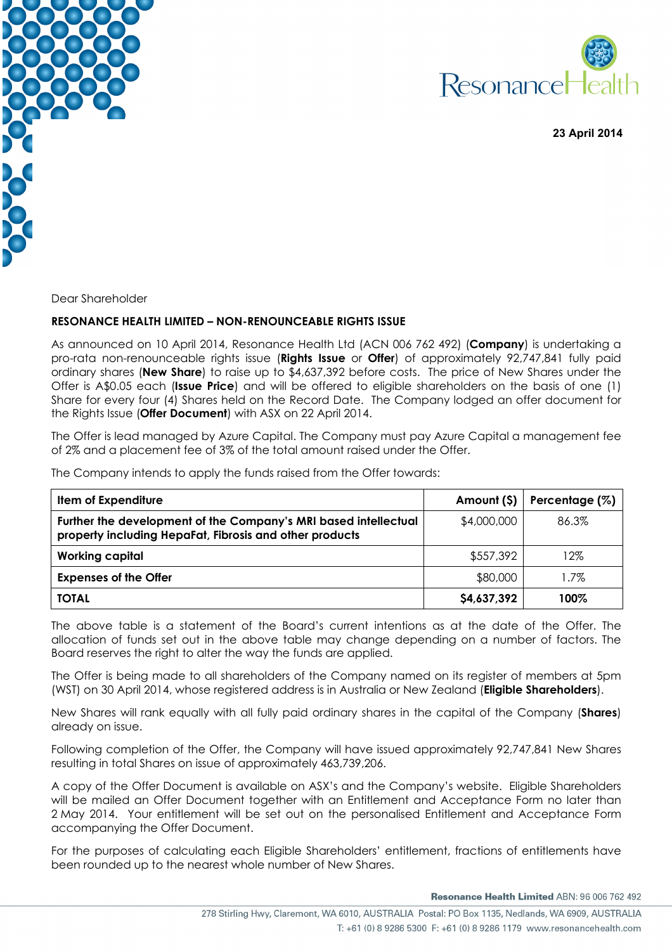



 **23 April 2014** 

Dear Shareholder

## **RESONANCE HEALTH LIMITED – NON-RENOUNCEABLE RIGHTS ISSUE**

As announced on 10 April 2014, Resonance Health Ltd (ACN 006 762 492) (**Company**) is undertaking a pro-rata non-renounceable rights issue (**Rights Issue** or **Offer**) of approximately 92,747,841 fully paid ordinary shares (**New Share**) to raise up to \$4,637,392 before costs. The price of New Shares under the Offer is A\$0.05 each (**Issue Price**) and will be offered to eligible shareholders on the basis of one (1) Share for every four (4) Shares held on the Record Date. The Company lodged an offer document for the Rights Issue (**Offer Document**) with ASX on 22 April 2014.

The Offer is lead managed by Azure Capital. The Company must pay Azure Capital a management fee of 2% and a placement fee of 3% of the total amount raised under the Offer.

The Company intends to apply the funds raised from the Offer towards:

| Item of Expenditure                                                                                                        | Amount (\$) | Percentage (%) |
|----------------------------------------------------------------------------------------------------------------------------|-------------|----------------|
| Further the development of the Company's MRI based intellectual<br>property including HepaFat, Fibrosis and other products | \$4,000,000 | 86.3%          |
| <b>Working capital</b>                                                                                                     | \$557,392   | 12%            |
| <b>Expenses of the Offer</b>                                                                                               | \$80,000    | 1.7%           |
| <b>TOTAL</b>                                                                                                               | \$4,637,392 | 100%           |

The above table is a statement of the Board's current intentions as at the date of the Offer. The allocation of funds set out in the above table may change depending on a number of factors. The Board reserves the right to alter the way the funds are applied.

The Offer is being made to all shareholders of the Company named on its register of members at 5pm (WST) on 30 April 2014, whose registered address is in Australia or New Zealand (**Eligible Shareholders**).

New Shares will rank equally with all fully paid ordinary shares in the capital of the Company (**Shares**) already on issue.

Following completion of the Offer, the Company will have issued approximately 92,747,841 New Shares resulting in total Shares on issue of approximately 463,739,206.

A copy of the Offer Document is available on ASX's and the Company's website. Eligible Shareholders will be mailed an Offer Document together with an Entitlement and Acceptance Form no later than 2 May 2014. Your entitlement will be set out on the personalised Entitlement and Acceptance Form accompanying the Offer Document.

For the purposes of calculating each Eligible Shareholders' entitlement, fractions of entitlements have been rounded up to the nearest whole number of New Shares.

Resonance Health Limited ABN: 96 006 762 492